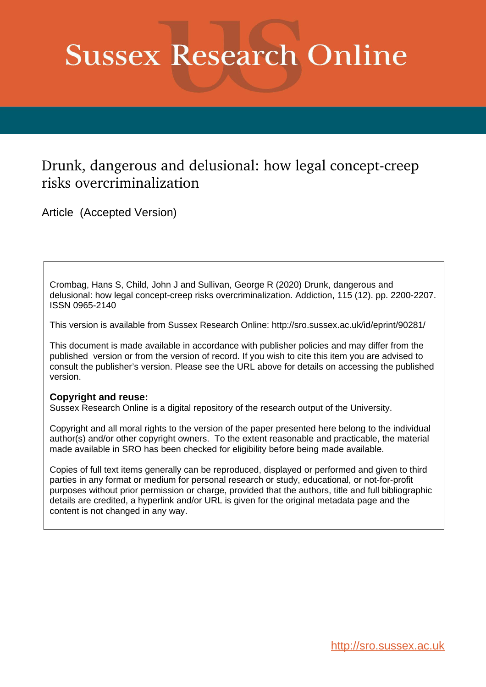# **Sussex Research Online**

# Drunk, dangerous and delusional: how legal concept-creep risks overcriminalization

Article (Accepted Version)

Crombag, Hans S, Child, John J and Sullivan, George R (2020) Drunk, dangerous and delusional: how legal concept-creep risks overcriminalization. Addiction, 115 (12). pp. 2200-2207. ISSN 0965-2140

This version is available from Sussex Research Online: http://sro.sussex.ac.uk/id/eprint/90281/

This document is made available in accordance with publisher policies and may differ from the published version or from the version of record. If you wish to cite this item you are advised to consult the publisher's version. Please see the URL above for details on accessing the published version.

#### **Copyright and reuse:**

Sussex Research Online is a digital repository of the research output of the University.

Copyright and all moral rights to the version of the paper presented here belong to the individual author(s) and/or other copyright owners. To the extent reasonable and practicable, the material made available in SRO has been checked for eligibility before being made available.

Copies of full text items generally can be reproduced, displayed or performed and given to third parties in any format or medium for personal research or study, educational, or not-for-profit purposes without prior permission or charge, provided that the authors, title and full bibliographic details are credited, a hyperlink and/or URL is given for the original metadata page and the content is not changed in any way.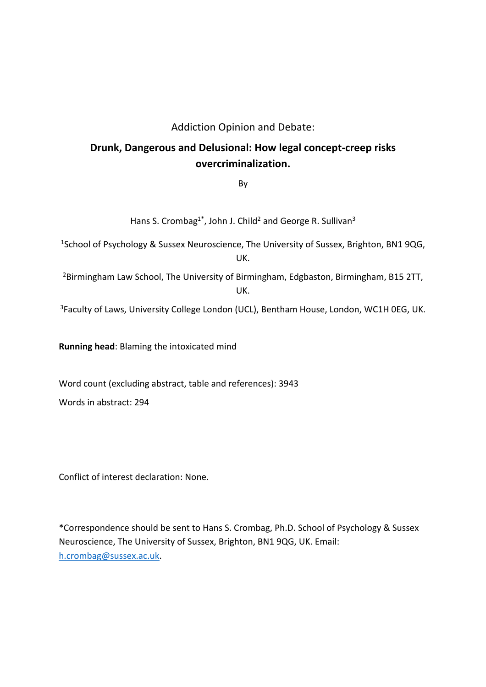## Addiction Opinion and Debate:

# **Drunk, Dangerous and Delusional: How legal concept-creep risks overcriminalization.**

By

Hans S. Crombag<sup>1\*</sup>, John J. Child<sup>2</sup> and George R. Sullivan<sup>3</sup>

<sup>1</sup>School of Psychology & Sussex Neuroscience, The University of Sussex, Brighton, BN1 9QG, UK.

<sup>2</sup>Birmingham Law School, The University of Birmingham, Edgbaston, Birmingham, B15 2TT, UK.

<sup>3</sup>Faculty of Laws, University College London (UCL), Bentham House, London, WC1H 0EG, UK.

**Running head**: Blaming the intoxicated mind

Word count (excluding abstract, table and references): 3943 Words in abstract: 294

Conflict of interest declaration: None.

\*Correspondence should be sent to Hans S. Crombag, Ph.D. School of Psychology & Sussex Neuroscience, The University of Sussex, Brighton, BN1 9QG, UK. Email: h.crombag@sussex.ac.uk.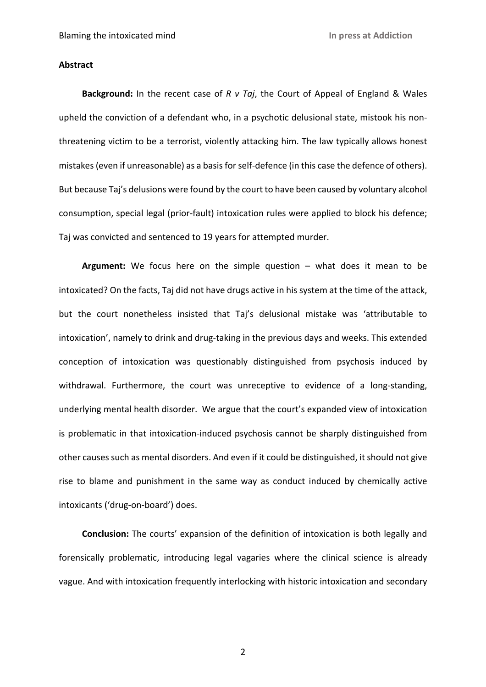#### **Abstract**

**Background:** In the recent case of *R v Taj*, the Court of Appeal of England & Wales upheld the conviction of a defendant who, in a psychotic delusional state, mistook his nonthreatening victim to be a terrorist, violently attacking him. The law typically allows honest mistakes (even if unreasonable) as a basis for self-defence (in this case the defence of others). But because Taj's delusions were found by the court to have been caused by voluntary alcohol consumption, special legal (prior-fault) intoxication rules were applied to block his defence; Taj was convicted and sentenced to 19 years for attempted murder.

**Argument:** We focus here on the simple question – what does it mean to be intoxicated? On the facts, Taj did not have drugs active in his system at the time of the attack, but the court nonetheless insisted that Taj's delusional mistake was 'attributable to intoxication', namely to drink and drug-taking in the previous days and weeks. This extended conception of intoxication was questionably distinguished from psychosis induced by withdrawal. Furthermore, the court was unreceptive to evidence of a long-standing, underlying mental health disorder. We argue that the court's expanded view of intoxication is problematic in that intoxication-induced psychosis cannot be sharply distinguished from other causes such as mental disorders. And even if it could be distinguished, it should not give rise to blame and punishment in the same way as conduct induced by chemically active intoxicants ('drug-on-board') does.

**Conclusion:** The courts' expansion of the definition of intoxication is both legally and forensically problematic, introducing legal vagaries where the clinical science is already vague. And with intoxication frequently interlocking with historic intoxication and secondary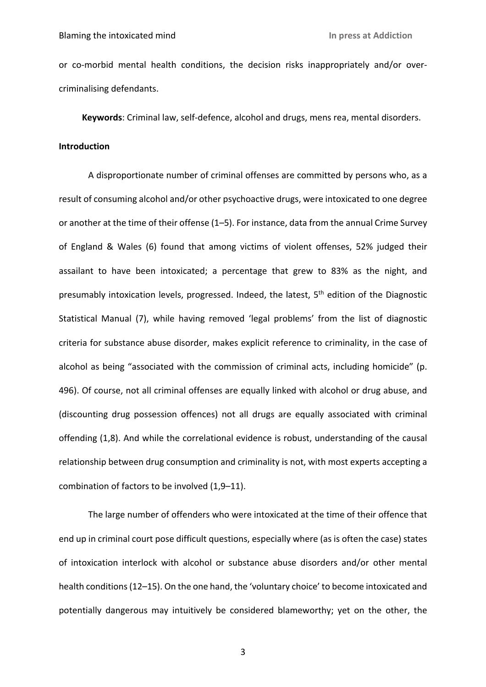or co-morbid mental health conditions, the decision risks inappropriately and/or overcriminalising defendants.

**Keywords**: Criminal law, self-defence, alcohol and drugs, mens rea, mental disorders.

#### **Introduction**

A disproportionate number of criminal offenses are committed by persons who, as a result of consuming alcohol and/or other psychoactive drugs, were intoxicated to one degree or another at the time of their offense (1–5). For instance, data from the annual Crime Survey of England & Wales (6) found that among victims of violent offenses, 52% judged their assailant to have been intoxicated; a percentage that grew to 83% as the night, and presumably intoxication levels, progressed. Indeed, the latest, 5<sup>th</sup> edition of the Diagnostic Statistical Manual (7), while having removed 'legal problems' from the list of diagnostic criteria for substance abuse disorder, makes explicit reference to criminality, in the case of alcohol as being "associated with the commission of criminal acts, including homicide" (p. 496). Of course, not all criminal offenses are equally linked with alcohol or drug abuse, and (discounting drug possession offences) not all drugs are equally associated with criminal offending (1,8). And while the correlational evidence is robust, understanding of the causal relationship between drug consumption and criminality is not, with most experts accepting a combination of factors to be involved (1,9–11).

The large number of offenders who were intoxicated at the time of their offence that end up in criminal court pose difficult questions, especially where (as is often the case) states of intoxication interlock with alcohol or substance abuse disorders and/or other mental health conditions (12–15). On the one hand, the 'voluntary choice' to become intoxicated and potentially dangerous may intuitively be considered blameworthy; yet on the other, the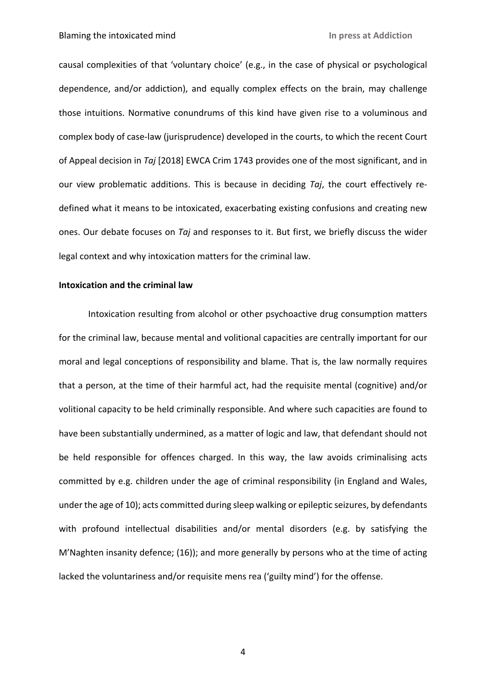Blaming the intoxicated mind **In press at Addiction** 

causal complexities of that 'voluntary choice' (e.g., in the case of physical or psychological dependence, and/or addiction), and equally complex effects on the brain, may challenge those intuitions. Normative conundrums of this kind have given rise to a voluminous and complex body of case-law (jurisprudence) developed in the courts, to which the recent Court of Appeal decision in *Taj* [2018] EWCA Crim 1743 provides one of the most significant, and in our view problematic additions. This is because in deciding *Taj*, the court effectively redefined what it means to be intoxicated, exacerbating existing confusions and creating new ones. Our debate focuses on *Taj* and responses to it. But first, we briefly discuss the wider legal context and why intoxication matters for the criminal law.

#### **Intoxication and the criminal law**

Intoxication resulting from alcohol or other psychoactive drug consumption matters for the criminal law, because mental and volitional capacities are centrally important for our moral and legal conceptions of responsibility and blame. That is, the law normally requires that a person, at the time of their harmful act, had the requisite mental (cognitive) and/or volitional capacity to be held criminally responsible. And where such capacities are found to have been substantially undermined, as a matter of logic and law, that defendant should not be held responsible for offences charged. In this way, the law avoids criminalising acts committed by e.g. children under the age of criminal responsibility (in England and Wales, under the age of 10); acts committed during sleep walking or epileptic seizures, by defendants with profound intellectual disabilities and/or mental disorders (e.g. by satisfying the M'Naghten insanity defence; (16)); and more generally by persons who at the time of acting lacked the voluntariness and/or requisite mens rea ('guilty mind') for the offense.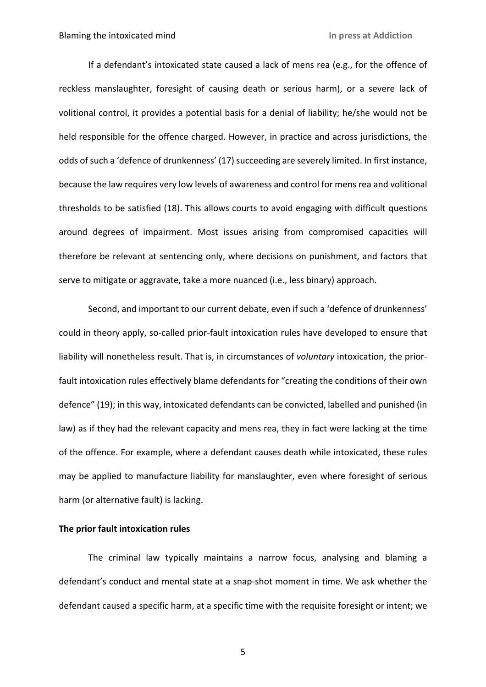If a defendant's intoxicated state caused a lack of mens rea (e.g., for the offence of reckless manslaughter, foresight of causing death or serious harm), or a severe lack of volitional control, it provides a potential basis for a denial of liability; he/she would not be held responsible for the offence charged. However, in practice and across jurisdictions, the odds of such a 'defence of drunkenness' (17) succeeding are severely limited. In first instance, because the law requires very low levels of awareness and control for mens rea and volitional thresholds to be satisfied (18). This allows courts to avoid engaging with difficult questions around degrees of impairment. Most issues arising from compromised capacities will therefore be relevant at sentencing only, where decisions on punishment, and factors that serve to mitigate or aggravate, take a more nuanced (i.e., less binary) approach.

Second, and important to our current debate, even if such a 'defence of drunkenness' could in theory apply, so-called prior-fault intoxication rules have developed to ensure that liability will nonetheless result. That is, in circumstances of *voluntary* intoxication, the priorfault intoxication rules effectively blame defendants for "creating the conditions of their own defence" (19); in this way, intoxicated defendants can be convicted, labelled and punished (in law) as if they had the relevant capacity and mens rea, they in fact were lacking at the time of the offence. For example, where a defendant causes death while intoxicated, these rules may be applied to manufacture liability for manslaughter, even where foresight of serious harm (or alternative fault) is lacking.

#### **The prior fault intoxication rules**

The criminal law typically maintains a narrow focus, analysing and blaming a defendant's conduct and mental state at a snap-shot moment in time. We ask whether the defendant caused a specific harm, at a specific time with the requisite foresight or intent; we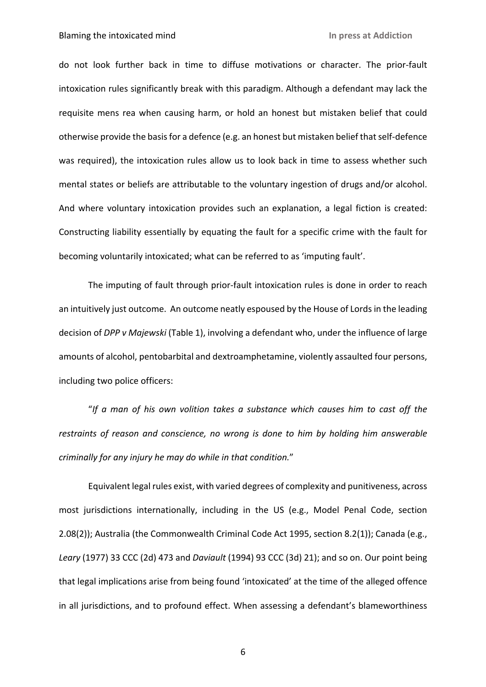do not look further back in time to diffuse motivations or character. The prior-fault intoxication rules significantly break with this paradigm. Although a defendant may lack the requisite mens rea when causing harm, or hold an honest but mistaken belief that could otherwise provide the basis for a defence (e.g. an honest but mistaken belief that self-defence was required), the intoxication rules allow us to look back in time to assess whether such mental states or beliefs are attributable to the voluntary ingestion of drugs and/or alcohol. And where voluntary intoxication provides such an explanation, a legal fiction is created: Constructing liability essentially by equating the fault for a specific crime with the fault for becoming voluntarily intoxicated; what can be referred to as 'imputing fault'.

The imputing of fault through prior-fault intoxication rules is done in order to reach an intuitively just outcome. An outcome neatly espoused by the House of Lords in the leading decision of *DPP v Majewski* (Table 1), involving a defendant who, under the influence of large amounts of alcohol, pentobarbital and dextroamphetamine, violently assaulted four persons, including two police officers:

"*If a man of his own volition takes a substance which causes him to cast off the restraints of reason and conscience, no wrong is done to him by holding him answerable criminally for any injury he may do while in that condition.*"

Equivalent legal rules exist, with varied degrees of complexity and punitiveness, across most jurisdictions internationally, including in the US (e.g., Model Penal Code, section 2.08(2)); Australia (the Commonwealth Criminal Code Act 1995, section 8.2(1)); Canada (e.g., *Leary* (1977) 33 CCC (2d) 473 and *Daviault* (1994) 93 CCC (3d) 21); and so on. Our point being that legal implications arise from being found 'intoxicated' at the time of the alleged offence in all jurisdictions, and to profound effect. When assessing a defendant's blameworthiness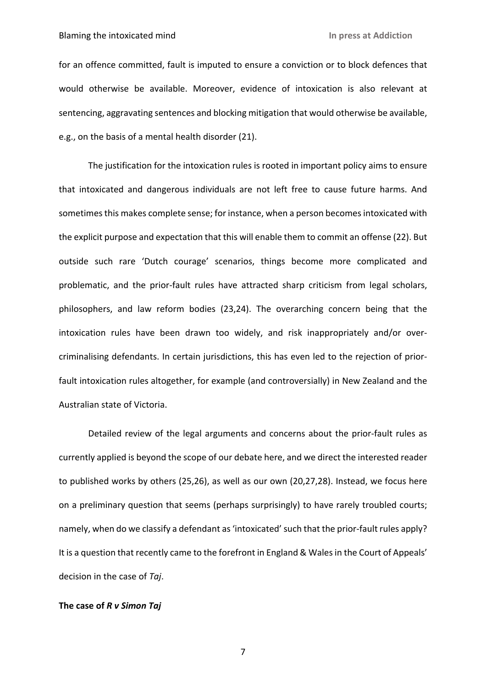for an offence committed, fault is imputed to ensure a conviction or to block defences that would otherwise be available. Moreover, evidence of intoxication is also relevant at sentencing, aggravating sentences and blocking mitigation that would otherwise be available, e.g., on the basis of a mental health disorder (21).

The justification for the intoxication rules is rooted in important policy aims to ensure that intoxicated and dangerous individuals are not left free to cause future harms. And sometimes this makes complete sense; for instance, when a person becomes intoxicated with the explicit purpose and expectation that this will enable them to commit an offense (22). But outside such rare 'Dutch courage' scenarios, things become more complicated and problematic, and the prior-fault rules have attracted sharp criticism from legal scholars, philosophers, and law reform bodies (23,24). The overarching concern being that the intoxication rules have been drawn too widely, and risk inappropriately and/or overcriminalising defendants. In certain jurisdictions, this has even led to the rejection of priorfault intoxication rules altogether, for example (and controversially) in New Zealand and the Australian state of Victoria.

Detailed review of the legal arguments and concerns about the prior-fault rules as currently applied is beyond the scope of our debate here, and we direct the interested reader to published works by others (25,26), as well as our own (20,27,28). Instead, we focus here on a preliminary question that seems (perhaps surprisingly) to have rarely troubled courts; namely, when do we classify a defendant as 'intoxicated' such that the prior-fault rules apply? It is a question that recently came to the forefront in England & Wales in the Court of Appeals' decision in the case of *Taj*.

#### **The case of** *R v Simon Taj*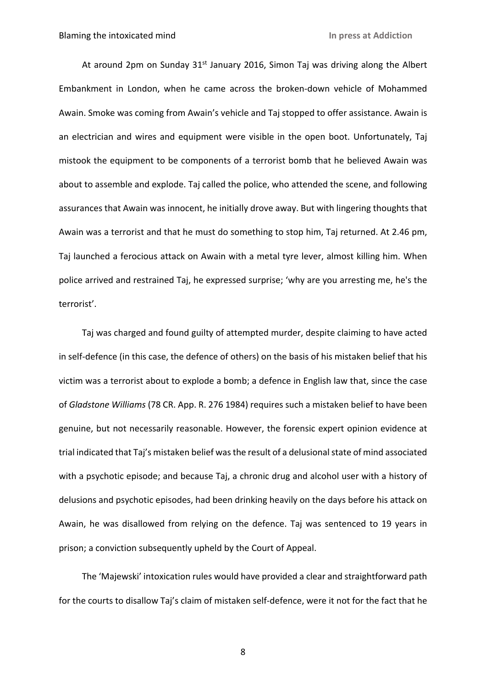At around 2pm on Sunday  $31<sup>st</sup>$  January 2016, Simon Taj was driving along the Albert Embankment in London, when he came across the broken-down vehicle of Mohammed Awain. Smoke was coming from Awain's vehicle and Taj stopped to offer assistance. Awain is an electrician and wires and equipment were visible in the open boot. Unfortunately, Taj mistook the equipment to be components of a terrorist bomb that he believed Awain was about to assemble and explode. Taj called the police, who attended the scene, and following assurances that Awain was innocent, he initially drove away. But with lingering thoughts that Awain was a terrorist and that he must do something to stop him, Taj returned. At 2.46 pm, Taj launched a ferocious attack on Awain with a metal tyre lever, almost killing him. When police arrived and restrained Taj, he expressed surprise; 'why are you arresting me, he's the terrorist'.

Taj was charged and found guilty of attempted murder, despite claiming to have acted in self-defence (in this case, the defence of others) on the basis of his mistaken belief that his victim was a terrorist about to explode a bomb; a defence in English law that, since the case of *Gladstone Williams* (78 CR. App. R. 276 1984) requires such a mistaken belief to have been genuine, but not necessarily reasonable. However, the forensic expert opinion evidence at trial indicated that Taj's mistaken belief was the result of a delusional state of mind associated with a psychotic episode; and because Taj, a chronic drug and alcohol user with a history of delusions and psychotic episodes, had been drinking heavily on the days before his attack on Awain, he was disallowed from relying on the defence. Taj was sentenced to 19 years in prison; a conviction subsequently upheld by the Court of Appeal.

The 'Majewski' intoxication rules would have provided a clear and straightforward path for the courts to disallow Taj's claim of mistaken self-defence, were it not for the fact that he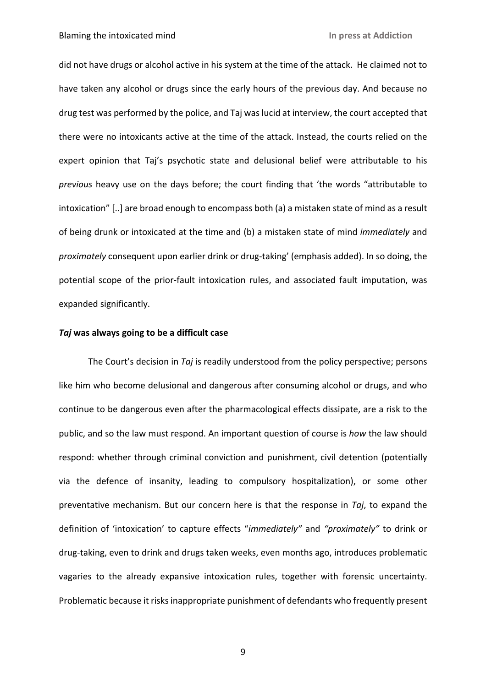Blaming the intoxicated mind **In press at Addiction** 

did not have drugs or alcohol active in his system at the time of the attack. He claimed not to have taken any alcohol or drugs since the early hours of the previous day. And because no drug test was performed by the police, and Taj was lucid at interview, the court accepted that there were no intoxicants active at the time of the attack. Instead, the courts relied on the expert opinion that Taj's psychotic state and delusional belief were attributable to his *previous* heavy use on the days before; the court finding that 'the words "attributable to intoxication" [..] are broad enough to encompass both (a) a mistaken state of mind as a result of being drunk or intoxicated at the time and (b) a mistaken state of mind *immediately* and *proximately* consequent upon earlier drink or drug-taking' (emphasis added). In so doing, the potential scope of the prior-fault intoxication rules, and associated fault imputation, was expanded significantly.

#### *Taj* **was always going to be a difficult case**

The Court's decision in *Taj* is readily understood from the policy perspective; persons like him who become delusional and dangerous after consuming alcohol or drugs, and who continue to be dangerous even after the pharmacological effects dissipate, are a risk to the public, and so the law must respond. An important question of course is *how* the law should respond: whether through criminal conviction and punishment, civil detention (potentially via the defence of insanity, leading to compulsory hospitalization), or some other preventative mechanism. But our concern here is that the response in *Taj*, to expand the definition of 'intoxication' to capture effects "*immediately"* and *"proximately"* to drink or drug-taking, even to drink and drugs taken weeks, even months ago, introduces problematic vagaries to the already expansive intoxication rules, together with forensic uncertainty. Problematic because it risks inappropriate punishment of defendants who frequently present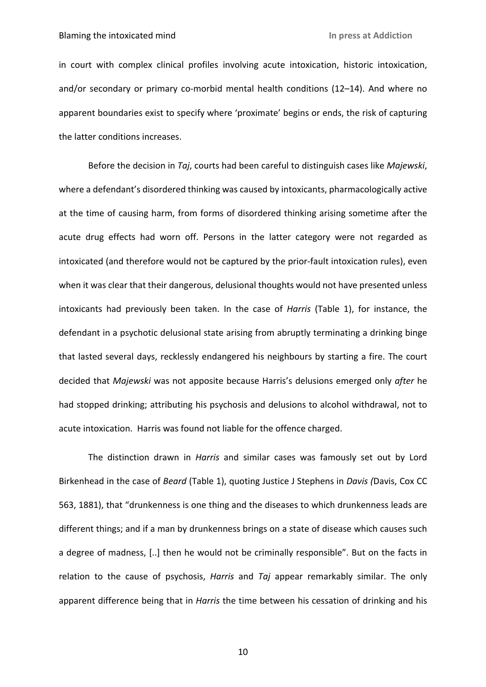in court with complex clinical profiles involving acute intoxication, historic intoxication, and/or secondary or primary co-morbid mental health conditions (12–14). And where no apparent boundaries exist to specify where 'proximate' begins or ends, the risk of capturing the latter conditions increases.

Before the decision in *Taj*, courts had been careful to distinguish cases like *Majewski*, where a defendant's disordered thinking was caused by intoxicants, pharmacologically active at the time of causing harm, from forms of disordered thinking arising sometime after the acute drug effects had worn off. Persons in the latter category were not regarded as intoxicated (and therefore would not be captured by the prior-fault intoxication rules), even when it was clear that their dangerous, delusional thoughts would not have presented unless intoxicants had previously been taken. In the case of *Harris* (Table 1), for instance, the defendant in a psychotic delusional state arising from abruptly terminating a drinking binge that lasted several days, recklessly endangered his neighbours by starting a fire. The court decided that *Majewski* was not apposite because Harris's delusions emerged only *after* he had stopped drinking; attributing his psychosis and delusions to alcohol withdrawal, not to acute intoxication. Harris was found not liable for the offence charged.

The distinction drawn in *Harris* and similar cases was famously set out by Lord Birkenhead in the case of *Beard* (Table 1), quoting Justice J Stephens in *Davis (*Davis, Cox CC 563, 1881), that "drunkenness is one thing and the diseases to which drunkenness leads are different things; and if a man by drunkenness brings on a state of disease which causes such a degree of madness, [..] then he would not be criminally responsible". But on the facts in relation to the cause of psychosis, *Harris* and *Taj* appear remarkably similar. The only apparent difference being that in *Harris* the time between his cessation of drinking and his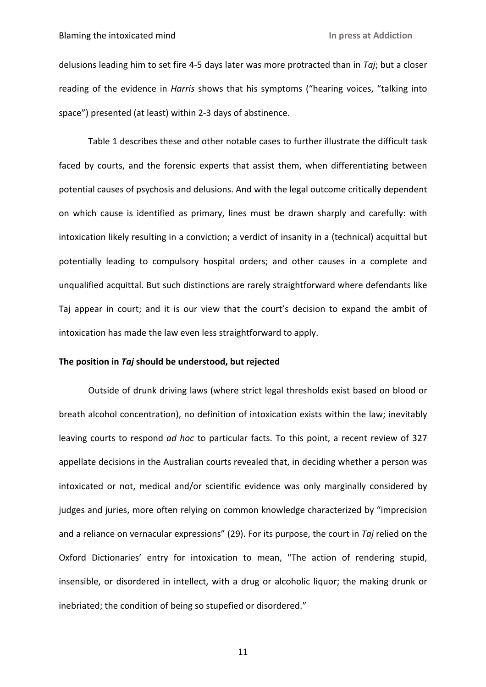delusions leading him to set fire 4-5 days later was more protracted than in *Taj*; but a closer reading of the evidence in *Harris* shows that his symptoms ("hearing voices, "talking into space") presented (at least) within 2-3 days of abstinence.

Table 1 describes these and other notable cases to further illustrate the difficult task faced by courts, and the forensic experts that assist them, when differentiating between potential causes of psychosis and delusions. And with the legal outcome critically dependent on which cause is identified as primary, lines must be drawn sharply and carefully: with intoxication likely resulting in a conviction; a verdict of insanity in a (technical) acquittal but potentially leading to compulsory hospital orders; and other causes in a complete and unqualified acquittal. But such distinctions are rarely straightforward where defendants like Taj appear in court; and it is our view that the court's decision to expand the ambit of intoxication has made the law even less straightforward to apply.

#### **The position in** *Taj* **should be understood, but rejected**

Outside of drunk driving laws (where strict legal thresholds exist based on blood or breath alcohol concentration), no definition of intoxication exists within the law; inevitably leaving courts to respond *ad hoc* to particular facts. To this point, a recent review of 327 appellate decisions in the Australian courts revealed that, in deciding whether a person was intoxicated or not, medical and/or scientific evidence was only marginally considered by judges and juries, more often relying on common knowledge characterized by "imprecision and a reliance on vernacular expressions" (29). For its purpose, the court in *Taj* relied on the Oxford Dictionaries' entry for intoxication to mean, "The action of rendering stupid, insensible, or disordered in intellect, with a drug or alcoholic liquor; the making drunk or inebriated; the condition of being so stupefied or disordered."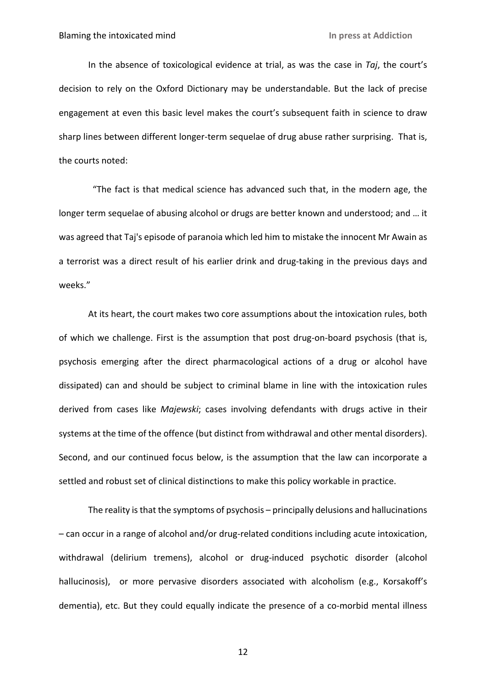In the absence of toxicological evidence at trial, as was the case in *Taj*, the court's decision to rely on the Oxford Dictionary may be understandable. But the lack of precise engagement at even this basic level makes the court's subsequent faith in science to draw sharp lines between different longer-term sequelae of drug abuse rather surprising. That is, the courts noted:

"The fact is that medical science has advanced such that, in the modern age, the longer term sequelae of abusing alcohol or drugs are better known and understood; and … it was agreed that Taj's episode of paranoia which led him to mistake the innocent Mr Awain as a terrorist was a direct result of his earlier drink and drug-taking in the previous days and weeks."

At its heart, the court makes two core assumptions about the intoxication rules, both of which we challenge. First is the assumption that post drug-on-board psychosis (that is, psychosis emerging after the direct pharmacological actions of a drug or alcohol have dissipated) can and should be subject to criminal blame in line with the intoxication rules derived from cases like *Majewski*; cases involving defendants with drugs active in their systems at the time of the offence (but distinct from withdrawal and other mental disorders). Second, and our continued focus below, is the assumption that the law can incorporate a settled and robust set of clinical distinctions to make this policy workable in practice.

The reality is that the symptoms of psychosis – principally delusions and hallucinations – can occur in a range of alcohol and/or drug-related conditions including acute intoxication, withdrawal (delirium tremens), alcohol or drug-induced psychotic disorder (alcohol hallucinosis), or more pervasive disorders associated with alcoholism (e.g., Korsakoff's dementia), etc. But they could equally indicate the presence of a co-morbid mental illness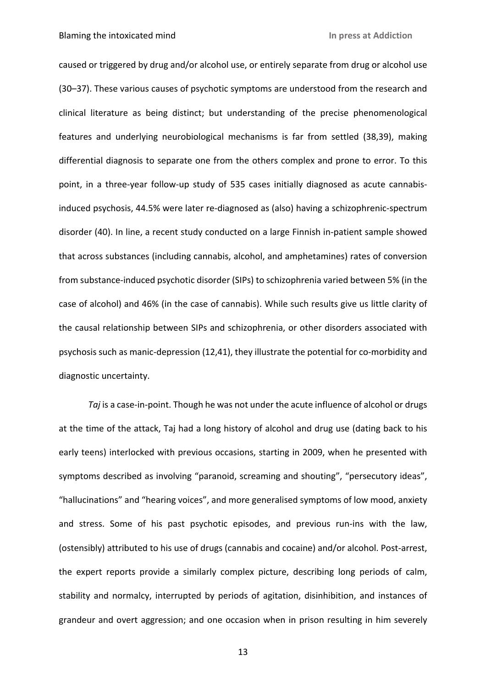caused or triggered by drug and/or alcohol use, or entirely separate from drug or alcohol use (30–37). These various causes of psychotic symptoms are understood from the research and clinical literature as being distinct; but understanding of the precise phenomenological features and underlying neurobiological mechanisms is far from settled (38,39), making differential diagnosis to separate one from the others complex and prone to error. To this point, in a three-year follow-up study of 535 cases initially diagnosed as acute cannabisinduced psychosis, 44.5% were later re-diagnosed as (also) having a schizophrenic-spectrum disorder (40). In line, a recent study conducted on a large Finnish in-patient sample showed that across substances (including cannabis, alcohol, and amphetamines) rates of conversion from substance-induced psychotic disorder (SIPs) to schizophrenia varied between 5% (in the case of alcohol) and 46% (in the case of cannabis). While such results give us little clarity of the causal relationship between SIPs and schizophrenia, or other disorders associated with psychosis such as manic-depression (12,41), they illustrate the potential for co-morbidity and diagnostic uncertainty.

*Taj* is a case-in-point. Though he was not under the acute influence of alcohol or drugs at the time of the attack, Taj had a long history of alcohol and drug use (dating back to his early teens) interlocked with previous occasions, starting in 2009, when he presented with symptoms described as involving "paranoid, screaming and shouting", "persecutory ideas", "hallucinations" and "hearing voices", and more generalised symptoms of low mood, anxiety and stress. Some of his past psychotic episodes, and previous run-ins with the law, (ostensibly) attributed to his use of drugs (cannabis and cocaine) and/or alcohol. Post-arrest, the expert reports provide a similarly complex picture, describing long periods of calm, stability and normalcy, interrupted by periods of agitation, disinhibition, and instances of grandeur and overt aggression; and one occasion when in prison resulting in him severely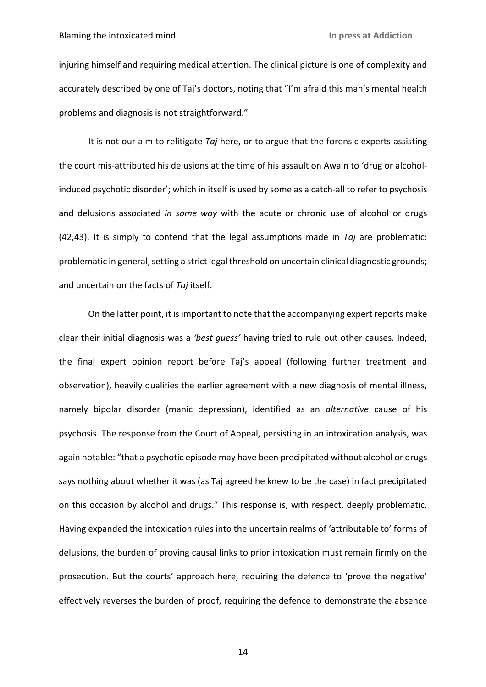#### Blaming the intoxicated mind **In press at Addiction**

injuring himself and requiring medical attention. The clinical picture is one of complexity and accurately described by one of Taj's doctors, noting that "I'm afraid this man's mental health problems and diagnosis is not straightforward."

It is not our aim to relitigate *Taj* here, or to argue that the forensic experts assisting the court mis-attributed his delusions at the time of his assault on Awain to 'drug or alcoholinduced psychotic disorder'; which in itself is used by some as a catch-all to refer to psychosis and delusions associated *in some way* with the acute or chronic use of alcohol or drugs (42,43). It is simply to contend that the legal assumptions made in *Taj* are problematic: problematic in general, setting a strict legal threshold on uncertain clinical diagnostic grounds; and uncertain on the facts of *Taj* itself.

On the latter point, it is important to note that the accompanying expert reports make clear their initial diagnosis was a *'best guess'* having tried to rule out other causes. Indeed, the final expert opinion report before Taj's appeal (following further treatment and observation), heavily qualifies the earlier agreement with a new diagnosis of mental illness, namely bipolar disorder (manic depression), identified as an *alternative* cause of his psychosis. The response from the Court of Appeal, persisting in an intoxication analysis, was again notable: "that a psychotic episode may have been precipitated without alcohol or drugs says nothing about whether it was (as Taj agreed he knew to be the case) in fact precipitated on this occasion by alcohol and drugs." This response is, with respect, deeply problematic. Having expanded the intoxication rules into the uncertain realms of 'attributable to' forms of delusions, the burden of proving causal links to prior intoxication must remain firmly on the prosecution. But the courts' approach here, requiring the defence to 'prove the negative' effectively reverses the burden of proof, requiring the defence to demonstrate the absence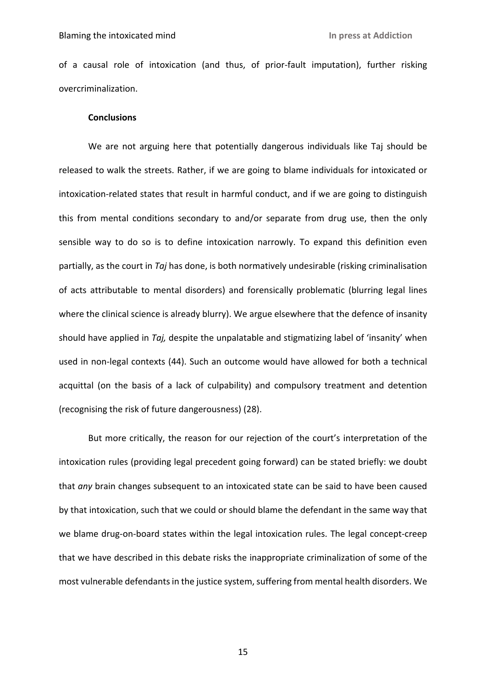of a causal role of intoxication (and thus, of prior-fault imputation), further risking overcriminalization.

#### **Conclusions**

We are not arguing here that potentially dangerous individuals like Taj should be released to walk the streets. Rather, if we are going to blame individuals for intoxicated or intoxication-related states that result in harmful conduct, and if we are going to distinguish this from mental conditions secondary to and/or separate from drug use, then the only sensible way to do so is to define intoxication narrowly. To expand this definition even partially, as the court in *Taj* has done, is both normatively undesirable (risking criminalisation of acts attributable to mental disorders) and forensically problematic (blurring legal lines where the clinical science is already blurry). We argue elsewhere that the defence of insanity should have applied in *Taj,* despite the unpalatable and stigmatizing label of 'insanity' when used in non-legal contexts (44). Such an outcome would have allowed for both a technical acquittal (on the basis of a lack of culpability) and compulsory treatment and detention (recognising the risk of future dangerousness) (28).

But more critically, the reason for our rejection of the court's interpretation of the intoxication rules (providing legal precedent going forward) can be stated briefly: we doubt that *any* brain changes subsequent to an intoxicated state can be said to have been caused by that intoxication, such that we could or should blame the defendant in the same way that we blame drug-on-board states within the legal intoxication rules. The legal concept-creep that we have described in this debate risks the inappropriate criminalization of some of the most vulnerable defendants in the justice system, suffering from mental health disorders. We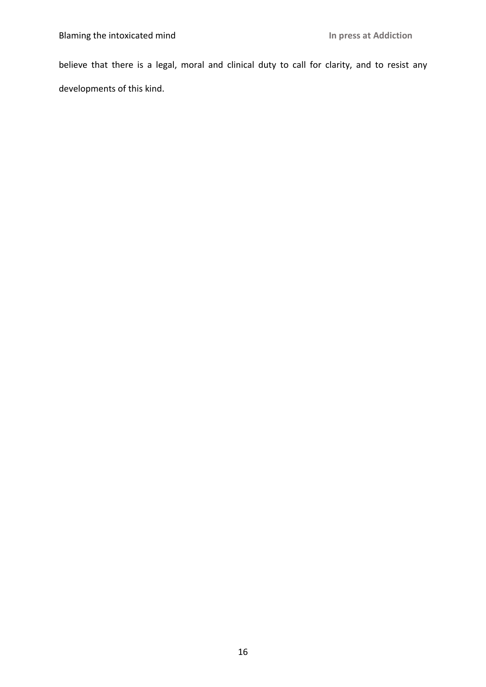believe that there is a legal, moral and clinical duty to call for clarity, and to resist any developments of this kind.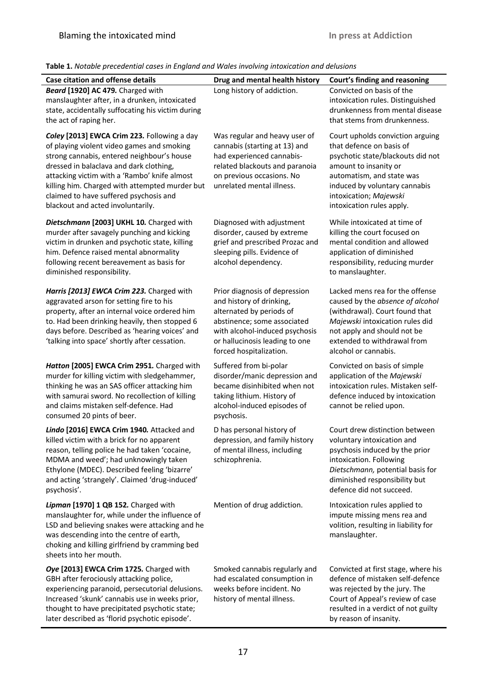| <b>Case citation and offense details</b>                                                                                                                                                                                                                                                                                                                            | Drug and mental health history                                                                                                                                                                                      | Court's finding and reasoning                                                                                                                                                                                                                   |
|---------------------------------------------------------------------------------------------------------------------------------------------------------------------------------------------------------------------------------------------------------------------------------------------------------------------------------------------------------------------|---------------------------------------------------------------------------------------------------------------------------------------------------------------------------------------------------------------------|-------------------------------------------------------------------------------------------------------------------------------------------------------------------------------------------------------------------------------------------------|
| Beard [1920] AC 479. Charged with<br>manslaughter after, in a drunken, intoxicated<br>state, accidentally suffocating his victim during<br>the act of raping her.                                                                                                                                                                                                   | Long history of addiction.                                                                                                                                                                                          | Convicted on basis of the<br>intoxication rules. Distinguished<br>drunkenness from mental disease<br>that stems from drunkenness.                                                                                                               |
| Coley [2013] EWCA Crim 223. Following a day<br>of playing violent video games and smoking<br>strong cannabis, entered neighbour's house<br>dressed in balaclava and dark clothing,<br>attacking victim with a 'Rambo' knife almost<br>killing him. Charged with attempted murder but<br>claimed to have suffered psychosis and<br>blackout and acted involuntarily. | Was regular and heavy user of<br>cannabis (starting at 13) and<br>had experienced cannabis-<br>related blackouts and paranoia<br>on previous occasions. No<br>unrelated mental illness.                             | Court upholds conviction arguing<br>that defence on basis of<br>psychotic state/blackouts did not<br>amount to insanity or<br>automatism, and state was<br>induced by voluntary cannabis<br>intoxication; Majewski<br>intoxication rules apply. |
| Dietschmann [2003] UKHL 10. Charged with<br>murder after savagely punching and kicking<br>victim in drunken and psychotic state, killing<br>him. Defence raised mental abnormality<br>following recent bereavement as basis for<br>diminished responsibility.                                                                                                       | Diagnosed with adjustment<br>disorder, caused by extreme<br>grief and prescribed Prozac and<br>sleeping pills. Evidence of<br>alcohol dependency.                                                                   | While intoxicated at time of<br>killing the court focused on<br>mental condition and allowed<br>application of diminished<br>responsibility, reducing murder<br>to manslaughter.                                                                |
| Harris [2013] EWCA Crim 223. Charged with<br>aggravated arson for setting fire to his<br>property, after an internal voice ordered him<br>to. Had been drinking heavily, then stopped 6<br>days before. Described as 'hearing voices' and<br>'talking into space' shortly after cessation.                                                                          | Prior diagnosis of depression<br>and history of drinking,<br>alternated by periods of<br>abstinence; some associated<br>with alcohol-induced psychosis<br>or hallucinosis leading to one<br>forced hospitalization. | Lacked mens rea for the offense<br>caused by the absence of alcohol<br>(withdrawal). Court found that<br>Majewski intoxication rules did<br>not apply and should not be<br>extended to withdrawal from<br>alcohol or cannabis.                  |
| Hatton [2005] EWCA Crim 2951. Charged with<br>murder for killing victim with sledgehammer,<br>thinking he was an SAS officer attacking him<br>with samurai sword. No recollection of killing<br>and claims mistaken self-defence. Had<br>consumed 20 pints of beer.                                                                                                 | Suffered from bi-polar<br>disorder/manic depression and<br>became disinhibited when not<br>taking lithium. History of<br>alcohol-induced episodes of<br>psychosis.                                                  | Convicted on basis of simple<br>application of the Majewski<br>intoxication rules. Mistaken self-<br>defence induced by intoxication<br>cannot be relied upon.                                                                                  |
| Lindo [2016] EWCA Crim 1940. Attacked and<br>killed victim with a brick for no apparent<br>reason, telling police he had taken 'cocaine,<br>MDMA and weed'; had unknowingly taken<br>Ethylone (MDEC). Described feeling 'bizarre'<br>and acting 'strangely'. Claimed 'drug-induced'<br>psychosis'.                                                                  | D has personal history of<br>depression, and family history<br>of mental illness, including<br>schizophrenia.                                                                                                       | Court drew distinction between<br>voluntary intoxication and<br>psychosis induced by the prior<br>intoxication. Following<br>Dietschmann, potential basis for<br>diminished responsibility but<br>defence did not succeed.                      |
| Lipman [1970] 1 QB 152. Charged with<br>manslaughter for, while under the influence of<br>LSD and believing snakes were attacking and he<br>was descending into the centre of earth,<br>choking and killing girlfriend by cramming bed<br>sheets into her mouth.                                                                                                    | Mention of drug addiction.                                                                                                                                                                                          | Intoxication rules applied to<br>impute missing mens rea and<br>volition, resulting in liability for<br>manslaughter.                                                                                                                           |
| Oye [2013] EWCA Crim 1725. Charged with<br>GBH after ferociously attacking police,<br>experiencing paranoid, persecutorial delusions.<br>Increased 'skunk' cannabis use in weeks prior,<br>thought to have precipitated psychotic state;<br>later described as 'florid psychotic episode'.                                                                          | Smoked cannabis regularly and<br>had escalated consumption in<br>weeks before incident. No<br>history of mental illness.                                                                                            | Convicted at first stage, where his<br>defence of mistaken self-defence<br>was rejected by the jury. The<br>Court of Appeal's review of case<br>resulted in a verdict of not guilty<br>by reason of insanity.                                   |

#### **Table 1.** *Notable precedential cases in England and Wales involving intoxication and delusions*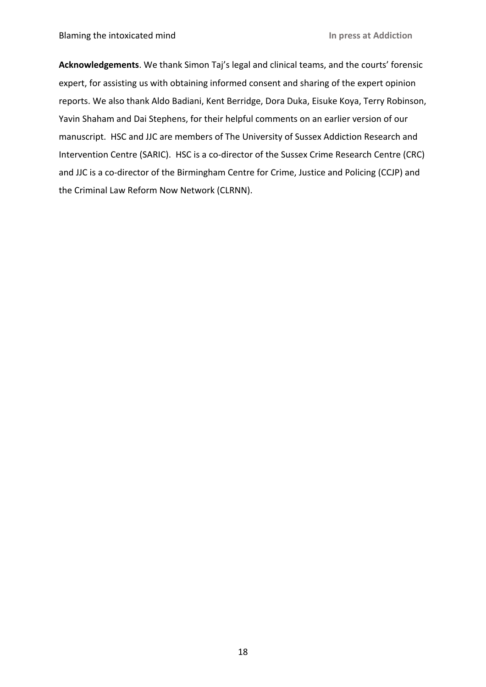**Acknowledgements**. We thank Simon Taj's legal and clinical teams, and the courts' forensic expert, for assisting us with obtaining informed consent and sharing of the expert opinion reports. We also thank Aldo Badiani, Kent Berridge, Dora Duka, Eisuke Koya, Terry Robinson, Yavin Shaham and Dai Stephens, for their helpful comments on an earlier version of our manuscript. HSC and JJC are members of The University of Sussex Addiction Research and Intervention Centre (SARIC). HSC is a co-director of the Sussex Crime Research Centre (CRC) and JJC is a co-director of the Birmingham Centre for Crime, Justice and Policing (CCJP) and the Criminal Law Reform Now Network (CLRNN).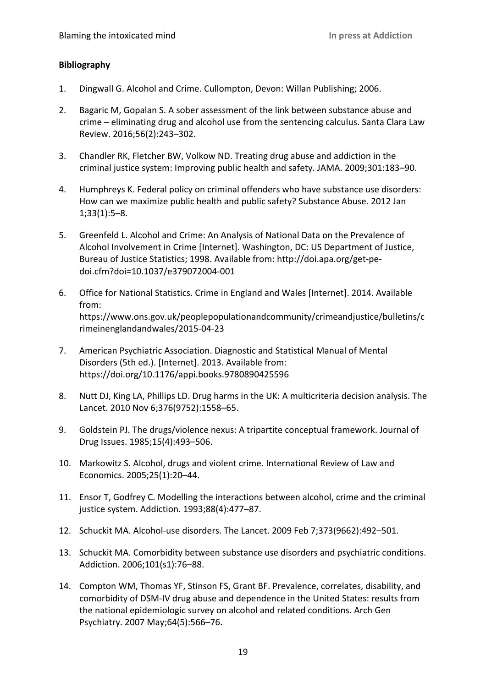### **Bibliography**

- 1. Dingwall G. Alcohol and Crime. Cullompton, Devon: Willan Publishing; 2006.
- 2. Bagaric M, Gopalan S. A sober assessment of the link between substance abuse and crime – eliminating drug and alcohol use from the sentencing calculus. Santa Clara Law Review. 2016;56(2):243–302.
- 3. Chandler RK, Fletcher BW, Volkow ND. Treating drug abuse and addiction in the criminal justice system: Improving public health and safety. JAMA. 2009;301:183–90.
- 4. Humphreys K. Federal policy on criminal offenders who have substance use disorders: How can we maximize public health and public safety? Substance Abuse. 2012 Jan 1;33(1):5–8.
- 5. Greenfeld L. Alcohol and Crime: An Analysis of National Data on the Prevalence of Alcohol Involvement in Crime [Internet]. Washington, DC: US Department of Justice, Bureau of Justice Statistics; 1998. Available from: http://doi.apa.org/get-pedoi.cfm?doi=10.1037/e379072004-001
- 6. Office for National Statistics. Crime in England and Wales [Internet]. 2014. Available from: https://www.ons.gov.uk/peoplepopulationandcommunity/crimeandjustice/bulletins/c rimeinenglandandwales/2015-04-23
- 7. American Psychiatric Association. Diagnostic and Statistical Manual of Mental Disorders (5th ed.). [Internet]. 2013. Available from: https://doi.org/10.1176/appi.books.9780890425596
- 8. Nutt DJ, King LA, Phillips LD. Drug harms in the UK: A multicriteria decision analysis. The Lancet. 2010 Nov 6;376(9752):1558–65.
- 9. Goldstein PJ. The drugs/violence nexus: A tripartite conceptual framework. Journal of Drug Issues. 1985;15(4):493–506.
- 10. Markowitz S. Alcohol, drugs and violent crime. International Review of Law and Economics. 2005;25(1):20–44.
- 11. Ensor T, Godfrey C. Modelling the interactions between alcohol, crime and the criminal justice system. Addiction. 1993;88(4):477–87.
- 12. Schuckit MA. Alcohol-use disorders. The Lancet. 2009 Feb 7;373(9662):492–501.
- 13. Schuckit MA. Comorbidity between substance use disorders and psychiatric conditions. Addiction. 2006;101(s1):76–88.
- 14. Compton WM, Thomas YF, Stinson FS, Grant BF. Prevalence, correlates, disability, and comorbidity of DSM-IV drug abuse and dependence in the United States: results from the national epidemiologic survey on alcohol and related conditions. Arch Gen Psychiatry. 2007 May;64(5):566–76.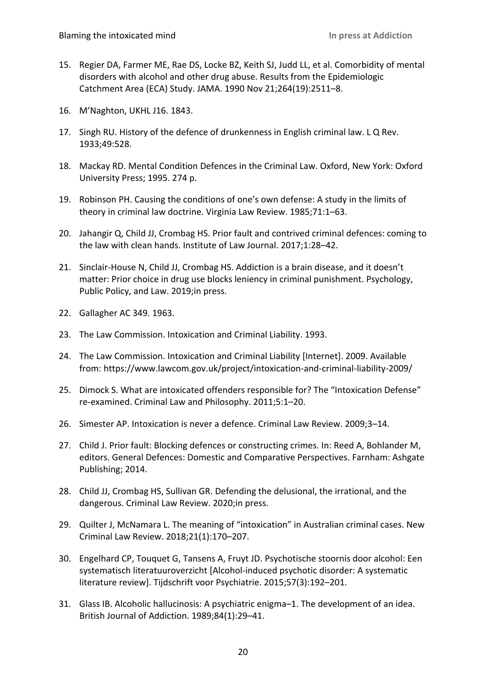- 15. Regier DA, Farmer ME, Rae DS, Locke BZ, Keith SJ, Judd LL, et al. Comorbidity of mental disorders with alcohol and other drug abuse. Results from the Epidemiologic Catchment Area (ECA) Study. JAMA. 1990 Nov 21;264(19):2511–8.
- 16. M'Naghton, UKHL J16. 1843.
- 17. Singh RU. History of the defence of drunkenness in English criminal law. L Q Rev. 1933;49:528.
- 18. Mackay RD. Mental Condition Defences in the Criminal Law. Oxford, New York: Oxford University Press; 1995. 274 p.
- 19. Robinson PH. Causing the conditions of one's own defense: A study in the limits of theory in criminal law doctrine. Virginia Law Review. 1985;71:1–63.
- 20. Jahangir Q, Child JJ, Crombag HS. Prior fault and contrived criminal defences: coming to the law with clean hands. Institute of Law Journal. 2017;1:28–42.
- 21. Sinclair-House N, Child JJ, Crombag HS. Addiction is a brain disease, and it doesn't matter: Prior choice in drug use blocks leniency in criminal punishment. Psychology, Public Policy, and Law. 2019;in press.
- 22. Gallagher AC 349. 1963.
- 23. The Law Commission. Intoxication and Criminal Liability. 1993.
- 24. The Law Commission. Intoxication and Criminal Liability [Internet]. 2009. Available from: https://www.lawcom.gov.uk/project/intoxication-and-criminal-liability-2009/
- 25. Dimock S. What are intoxicated offenders responsible for? The "Intoxication Defense" re-examined. Criminal Law and Philosophy. 2011;5:1–20.
- 26. Simester AP. Intoxication is never a defence. Criminal Law Review. 2009;3–14.
- 27. Child J. Prior fault: Blocking defences or constructing crimes. In: Reed A, Bohlander M, editors. General Defences: Domestic and Comparative Perspectives. Farnham: Ashgate Publishing; 2014.
- 28. Child JJ, Crombag HS, Sullivan GR. Defending the delusional, the irrational, and the dangerous. Criminal Law Review. 2020;in press.
- 29. Quilter J, McNamara L. The meaning of "intoxication" in Australian criminal cases. New Criminal Law Review. 2018;21(1):170–207.
- 30. Engelhard CP, Touquet G, Tansens A, Fruyt JD. Psychotische stoornis door alcohol: Een systematisch literatuuroverzicht [Alcohol-induced psychotic disorder: A systematic literature review]. Tijdschrift voor Psychiatrie. 2015;57(3):192–201.
- 31. Glass IB. Alcoholic hallucinosis: A psychiatric enigma–1. The development of an idea. British Journal of Addiction. 1989;84(1):29–41.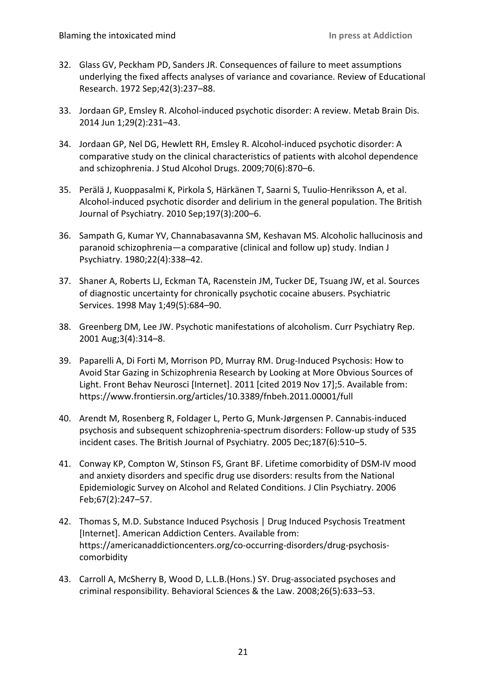- 32. Glass GV, Peckham PD, Sanders JR. Consequences of failure to meet assumptions underlying the fixed affects analyses of variance and covariance. Review of Educational Research. 1972 Sep;42(3):237–88.
- 33. Jordaan GP, Emsley R. Alcohol-induced psychotic disorder: A review. Metab Brain Dis. 2014 Jun 1;29(2):231–43.
- 34. Jordaan GP, Nel DG, Hewlett RH, Emsley R. Alcohol-induced psychotic disorder: A comparative study on the clinical characteristics of patients with alcohol dependence and schizophrenia. J Stud Alcohol Drugs. 2009;70(6):870–6.
- 35. Perälä J, Kuoppasalmi K, Pirkola S, Härkänen T, Saarni S, Tuulio-Henriksson A, et al. Alcohol-induced psychotic disorder and delirium in the general population. The British Journal of Psychiatry. 2010 Sep;197(3):200–6.
- 36. Sampath G, Kumar YV, Channabasavanna SM, Keshavan MS. Alcoholic hallucinosis and paranoid schizophrenia—a comparative (clinical and follow up) study. Indian J Psychiatry. 1980;22(4):338–42.
- 37. Shaner A, Roberts LJ, Eckman TA, Racenstein JM, Tucker DE, Tsuang JW, et al. Sources of diagnostic uncertainty for chronically psychotic cocaine abusers. Psychiatric Services. 1998 May 1;49(5):684–90.
- 38. Greenberg DM, Lee JW. Psychotic manifestations of alcoholism. Curr Psychiatry Rep. 2001 Aug;3(4):314–8.
- 39. Paparelli A, Di Forti M, Morrison PD, Murray RM. Drug-Induced Psychosis: How to Avoid Star Gazing in Schizophrenia Research by Looking at More Obvious Sources of Light. Front Behav Neurosci [Internet]. 2011 [cited 2019 Nov 17];5. Available from: https://www.frontiersin.org/articles/10.3389/fnbeh.2011.00001/full
- 40. Arendt M, Rosenberg R, Foldager L, Perto G, Munk-Jørgensen P. Cannabis-induced psychosis and subsequent schizophrenia-spectrum disorders: Follow-up study of 535 incident cases. The British Journal of Psychiatry. 2005 Dec;187(6):510–5.
- 41. Conway KP, Compton W, Stinson FS, Grant BF. Lifetime comorbidity of DSM-IV mood and anxiety disorders and specific drug use disorders: results from the National Epidemiologic Survey on Alcohol and Related Conditions. J Clin Psychiatry. 2006 Feb;67(2):247–57.
- 42. Thomas S, M.D. Substance Induced Psychosis | Drug Induced Psychosis Treatment [Internet]. American Addiction Centers. Available from: https://americanaddictioncenters.org/co-occurring-disorders/drug-psychosiscomorbidity
- 43. Carroll A, McSherry B, Wood D, L.L.B.(Hons.) SY. Drug-associated psychoses and criminal responsibility. Behavioral Sciences & the Law. 2008;26(5):633–53.